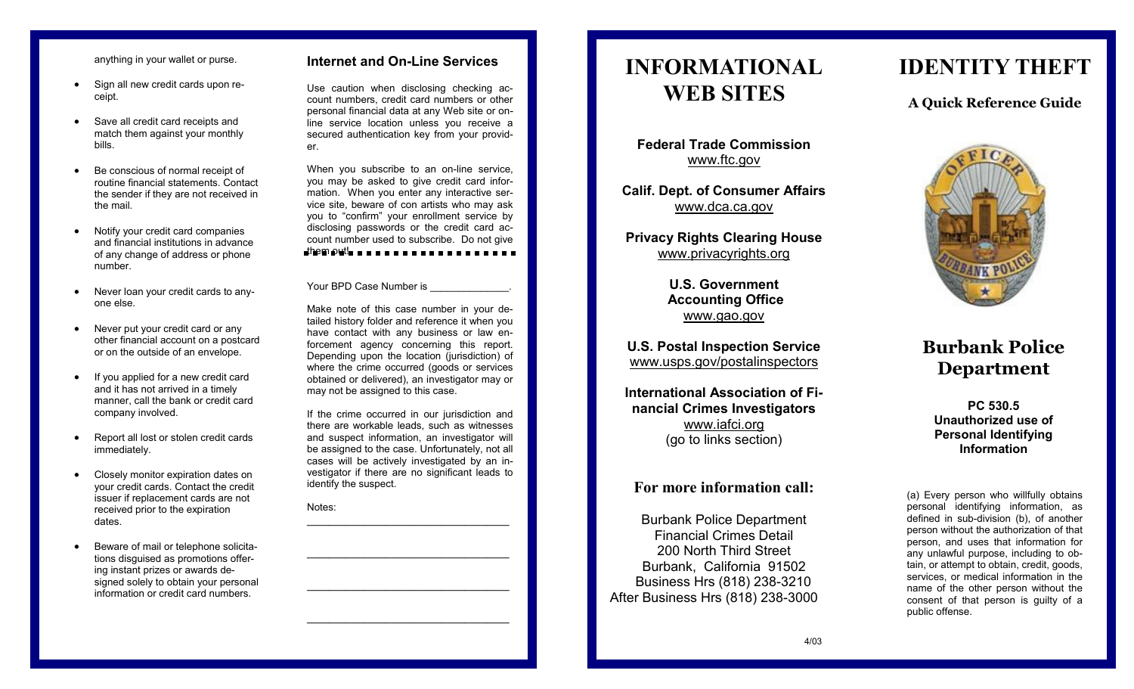anything in your wallet or purse.

- Sign all new credit cards upon receipt.
- Save all credit card receipts and match them against your monthly bills.
- Be conscious of normal receipt of routine financial statements. Contact the sender if they are not received in the mail.
- Notify your credit card companies and financial institutions in advance of any change of address or phone number.
- Never loan your credit cards to anyone else.
- Never put your credit card or any other financial account on a postcard or on the outside of an envelope.
- If you applied for a new credit card and it has not arrived in a timely manner, call the bank or credit card company involved.
- Report all lost or stolen credit cards immediately.
- Closely monitor expiration dates on your credit cards. Contact the credit issuer if replacement cards are not received prior to the expiration dates.
- Beware of mail or telephone solicitations disguised as promotions offering instant prizes or awards designed solely to obtain your personal information or credit card numbers.

#### **Internet and On -Line Services**

Use caution when disclosing checking account numbers, credit card numbers or other personal financial data at any Web site or on line service location unless you receive a secured authentication key from your provider.

When you subscribe to an on -line service, you may be asked to give credit card information. When you enter any interactive service site, beware of con artists who may ask you to "confirm" your enrollment service by disclosing passwords or the credit card account number used to subscribe. Do not give

them out!

#### Your BPD Case Number is

Make note of this case number in your detailed history folder and reference it when you have contact with any business or law enforcement agency concerning this report. Depending upon the location (jurisdiction) of where the crime occurred (goods or services obtained or delivered), an investigator may or may not be assigned to this case.

If the crime occurred in our jurisdiction and there are workable leads, such as witnesses and suspect information, an investigator will be assigned to the case. Unfortunately, not all cases will be actively investigated by an investigator if there are no significant leads to identify the suspect.

**\_\_\_\_\_\_\_\_\_\_\_\_\_\_\_\_\_\_\_\_\_\_\_\_\_\_\_\_\_\_\_\_\_\_\_\_**

Notes:

# **INFORMATIONAL WEB SITES**

**Federal Trade Commission** www.ftc.gov

**Calif. Dept. of Consumer Affairs** www.dca.ca.gov

**Privacy Rights Clearing House** www.privacyrights.org

> **U.S. Government Accounting Office** www.gao.gov

**U.S. Postal Inspection Service** www.usps.gov/postalinspectors

**International Association of Financial Crimes Investigators** www.iafci.org (go to links section)

### **For more information call:**

Burbank Police Department Financial Crimes Detail 200 North Third Street Burbank, California 91502 Business Hrs (818) 238 -3210 After Business Hrs (818) 238 -3000

## **IDENTITY THEFT**

### **A Quick Reference Guide**



### **Burbank Police Department**

**PC 530.5 Unauthorized use of Personal Identifying Information**

(a) Every person who willfully obtains personal identifying information, as defined in sub -division (b), of another person without the authorization of that person, and uses that information for any unlawful purpose, including to obtain, or attempt to obtain, credit, goods, services, or medical information in the name of the other person without the consent of that person is guilty of a public offense.